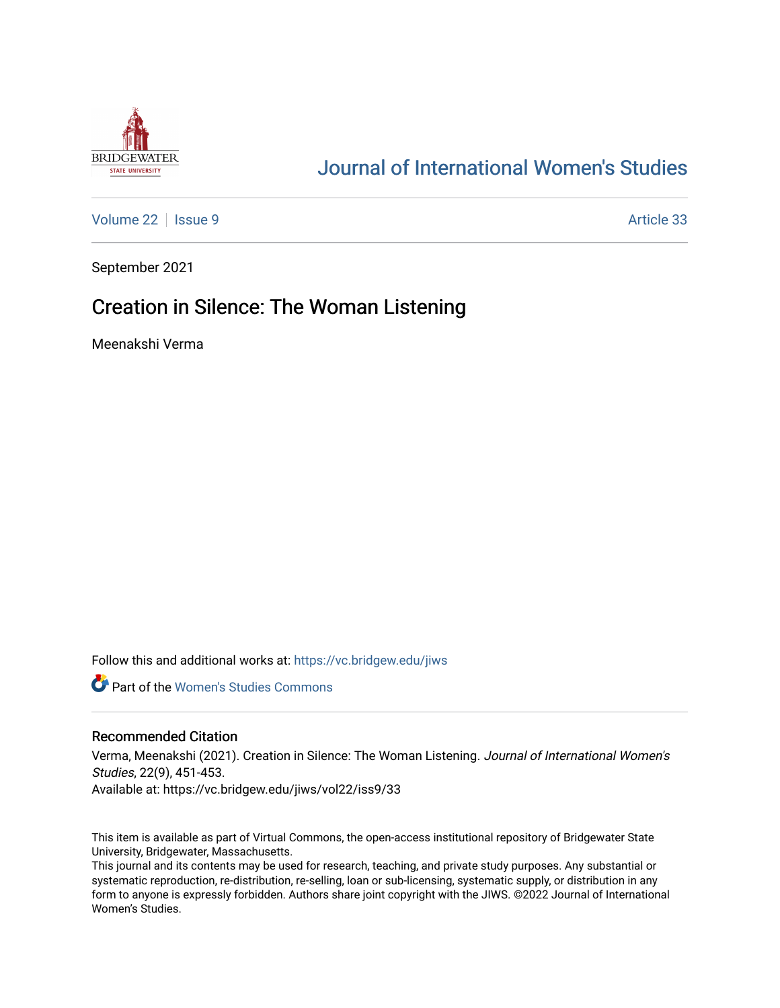

# [Journal of International Women's Studies](https://vc.bridgew.edu/jiws)

[Volume 22](https://vc.bridgew.edu/jiws/vol22) | [Issue 9](https://vc.bridgew.edu/jiws/vol22/iss9) Article 33

September 2021

## Creation in Silence: The Woman Listening

Meenakshi Verma

Follow this and additional works at: [https://vc.bridgew.edu/jiws](https://vc.bridgew.edu/jiws?utm_source=vc.bridgew.edu%2Fjiws%2Fvol22%2Fiss9%2F33&utm_medium=PDF&utm_campaign=PDFCoverPages)

**C** Part of the Women's Studies Commons

### Recommended Citation

Verma, Meenakshi (2021). Creation in Silence: The Woman Listening. Journal of International Women's Studies, 22(9), 451-453. Available at: https://vc.bridgew.edu/jiws/vol22/iss9/33

This item is available as part of Virtual Commons, the open-access institutional repository of Bridgewater State University, Bridgewater, Massachusetts.

This journal and its contents may be used for research, teaching, and private study purposes. Any substantial or systematic reproduction, re-distribution, re-selling, loan or sub-licensing, systematic supply, or distribution in any form to anyone is expressly forbidden. Authors share joint copyright with the JIWS. ©2022 Journal of International Women's Studies.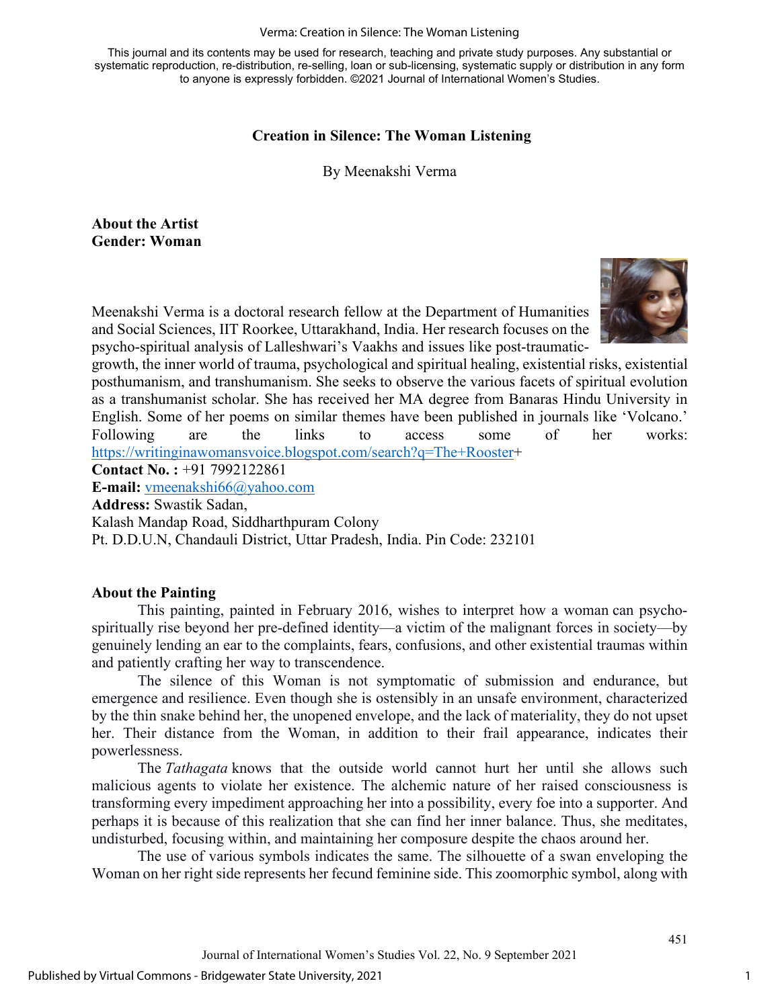#### Verma: Creation in Silence: The Woman Listening

This journal and its contents may be used for research, teaching and private study purposes. Any substantial or systematic reproduction, re-distribution, re-selling, loan or sub-licensing, systematic supply or distribution in any form to anyone is expressly forbidden. ©2021 Journal of International Women's Studies.

## **Creation in Silence: The Woman Listening**

By Meenakshi Verma

**About the Artist Gender: Woman** 

Meenakshi Verma is a doctoral research fellow at the Department of Humanities and Social Sciences, IIT Roorkee, Uttarakhand, India. Her research focuses on the psycho-spiritual analysis of Lalleshwari's Vaakhs and issues like post-traumatic-



growth, the inner world of trauma, psychological and spiritual healing, existential risks, existential posthumanism, and transhumanism. She seeks to observe the various facets of spiritual evolution as a transhumanist scholar. She has received her MA degree from Banaras Hindu University in English. Some of her poems on similar themes have been published in journals like 'Volcano.' Following are the links to access some of her works: [https://writinginawomansvoice.blogspot.com/search?q=The+Rooster+](https://writinginawomansvoice.blogspot.com/search?q=The+Rooster)

**Contact No. :** +91 7992122861

**E-mail:** [vmeenakshi66@yahoo.com](mailto:vmeenakshi66@yahoo.com)

**Address:** Swastik Sadan,

Kalash Mandap Road, Siddharthpuram Colony

Pt. D.D.U.N, Chandauli District, Uttar Pradesh, India. Pin Code: 232101

## **About the Painting**

This painting, painted in February 2016, wishes to interpret how a woman can psychospiritually rise beyond her pre-defined identity—a victim of the malignant forces in society—by genuinely lending an ear to the complaints, fears, confusions, and other existential traumas within and patiently crafting her way to transcendence.

 The silence of this Woman is not symptomatic of submission and endurance, but emergence and resilience. Even though she is ostensibly in an unsafe environment, characterized by the thin snake behind her, the unopened envelope, and the lack of materiality, they do not upset her. Their distance from the Woman, in addition to their frail appearance, indicates their powerlessness.

 The *Tathagata* knows that the outside world cannot hurt her until she allows such malicious agents to violate her existence. The alchemic nature of her raised consciousness is transforming every impediment approaching her into a possibility, every foe into a supporter. And perhaps it is because of this realization that she can find her inner balance. Thus, she meditates, undisturbed, focusing within, and maintaining her composure despite the chaos around her.

 The use of various symbols indicates the same. The silhouette of a swan enveloping the Woman on her right side represents her fecund feminine side. This zoomorphic symbol, along with

451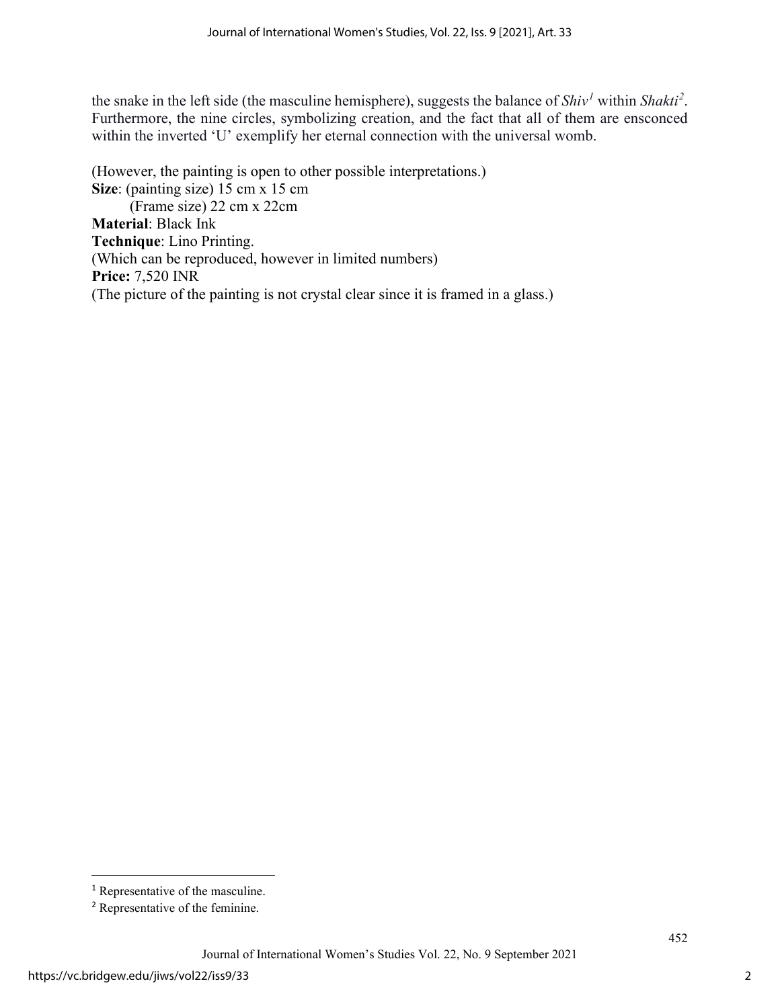the snake in the left side (the masculine hemisphere), suggests the balance of *Shiv[1](#page-2-0)* within *Shakti[2](#page-2-1)* . Furthermore, the nine circles, symbolizing creation, and the fact that all of them are ensconced within the inverted 'U' exemplify her eternal connection with the universal womb.

(However, the painting is open to other possible interpretations.) **Size**: (painting size) 15 cm x 15 cm (Frame size) 22 cm x 22cm **Material**: Black Ink **Technique**: Lino Printing. (Which can be reproduced, however in limited numbers) **Price:** 7,520 INR (The picture of the painting is not crystal clear since it is framed in a glass.)

<span id="page-2-0"></span><sup>&</sup>lt;sup>1</sup> Representative of the masculine.

<span id="page-2-1"></span><sup>2</sup> Representative of the feminine.